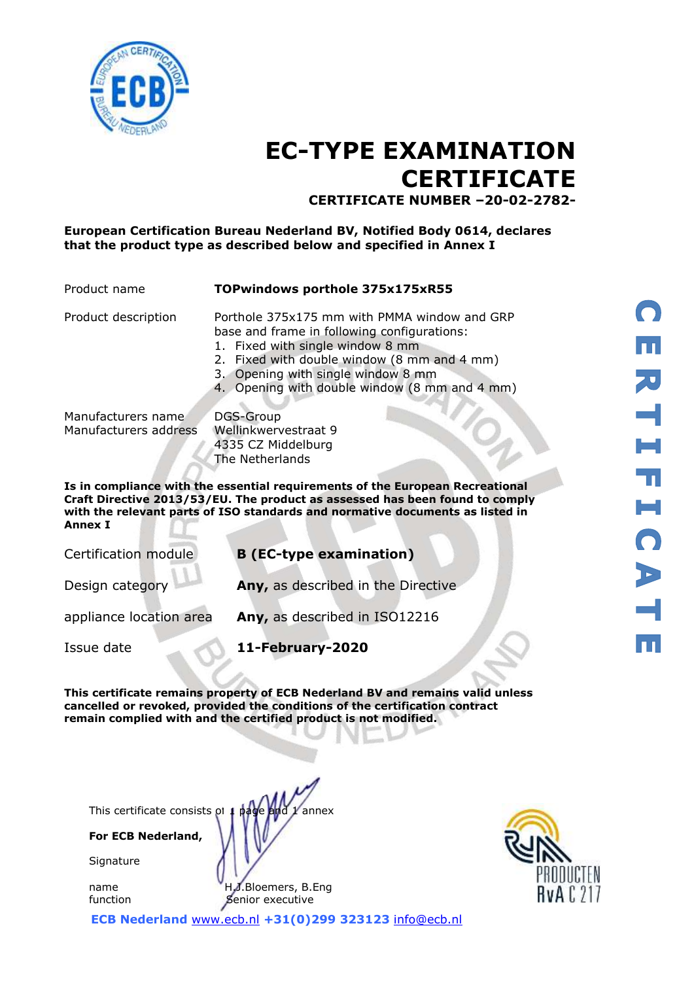

# **EC-TYPE EXAMINATION CERTIFICATE CERTIFICATE NUMBER –20-02-2782-**

### **European Certification Bureau Nederland BV, Notified Body 0614, declares that the product type as described below and specified in Annex I**

#### Product name **TOPwindows porthole 375x175xR55**

- Product description Porthole 375x175 mm with PMMA window and GRP base and frame in following configurations:
	- 1. Fixed with single window 8 mm
	- 2. Fixed with double window (8 mm and 4 mm)
	- 3. Opening with single window 8 mm
	- 4. Opening with double window (8 mm and 4 mm)

Manufacturers name Manufacturers address

DGS-Group Wellinkwervestraat 9 4335 CZ Middelburg The Netherlands

**Is in compliance with the essential requirements of the European Recreational Craft Directive 2013/53/EU. The product as assessed has been found to comply with the relevant parts of ISO standards and normative documents as listed in Annex I**

Certification module **B (EC-type examination)**

Design category **Any,** as described in the Directive

appliance location area **Any,** as described in ISO12216

Issue date **11-February-2020**

**This certificate remains property of ECB Nederland BV and remains valid unless cancelled or revoked, provided the conditions of the certification contract remain complied with and the certified product is not modified.** 

This certificate consists of  $\mu$  page and  $\chi$  annex

**For ECB Nederland,**

**Signature** 

name **H.J.Bloemers, B.Eng** function Senior executive

**ECB Nederland** [www.ecb.nl](http://www.ecb.nl/) **+31(0)299 323123** [info@ecb.nl](mailto:info@ecb.nl)